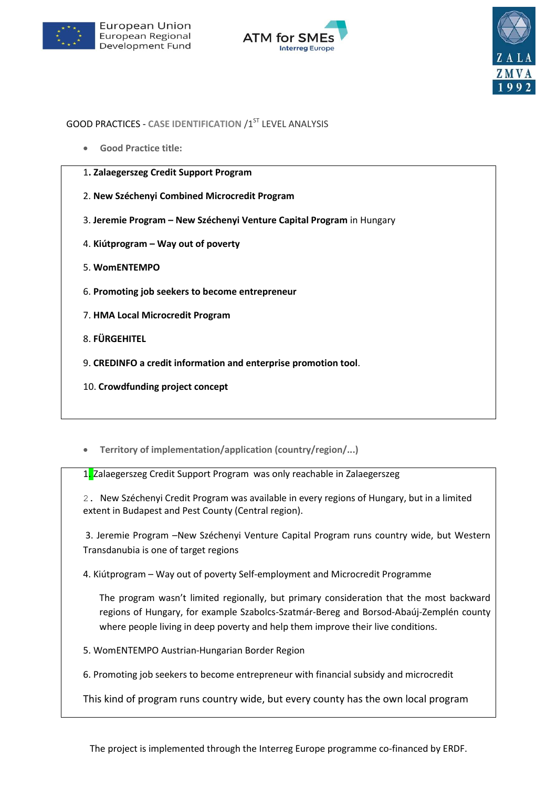





# **GOOD PRACTICES - CASE IDENTIFICATION /1ST LEVEL ANALYSIS**

**Good Practice title:**

| 1. Zalaegerszeg Credit Support Program                                |
|-----------------------------------------------------------------------|
| 2. New Széchenyi Combined Microcredit Program                         |
| 3. Jeremie Program – New Széchenyi Venture Capital Program in Hungary |
| 4. Kiútprogram – Way out of poverty                                   |
| 5. WomENTEMPO                                                         |
| 6. Promoting job seekers to become entrepreneur                       |
| 7. HMA Local Microcredit Program                                      |
| 8. FÜRGEHITEL                                                         |
| 9. CREDINFO a credit information and enterprise promotion tool.       |
| 10. Crowdfunding project concept                                      |

**Territory of implementation/application (country/region/...)**

1. Zalaegerszeg Credit Support Program was only reachable in Zalaegerszeg

2. New Széchenyi Credit Program was available in every regions of Hungary, but in a limited extent in Budapest and Pest County (Central region).

3. Jeremie Program –New Széchenyi Venture Capital Program runs country wide, but Western Transdanubia is one of target regions

4. Kiútprogram – Way out of poverty Self-employment and Microcredit Programme

The program wasn't limited regionally, but primary consideration that the most backward regions of Hungary, for example Szabolcs-Szatmár-Bereg and Borsod-Abaúj-Zemplén county where people living in deep poverty and help them improve their live conditions.

5. WomENTEMPO Austrian-Hungarian Border Region

6. Promoting job seekers to become entrepreneur with financial subsidy and microcredit

This kind of program runs country wide, but every county has the own local program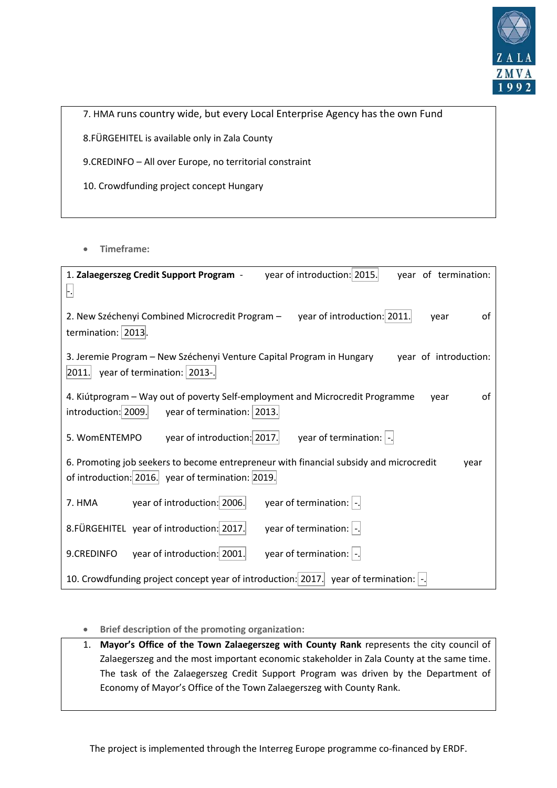

7. HMA runs country wide, but every Local Enterprise Agency has the own Fund 8.FÜRGEHITEL is available only in Zala County

9.CREDINFO – All over Europe, no territorial constraint

10. Crowdfunding project concept Hungary

**Timeframe:**

| year of introduction: 2015.<br>1. Zalaegerszeg Credit Support Program -<br>year of termination:<br>Ŀ                                                |
|-----------------------------------------------------------------------------------------------------------------------------------------------------|
| year of introduction: 2011.<br>2. New Széchenyi Combined Microcredit Program -<br>οf<br>year<br>termination:   2013 .                               |
| 3. Jeremie Program – New Széchenyi Venture Capital Program in Hungary<br>year of introduction:<br>year of termination:   2013-.<br> 2011.           |
| 4. Kiútprogram – Way out of poverty Self-employment and Microcredit Programme<br>of<br>vear<br>year of termination:   2013.<br>introduction: 2009.  |
| year of introduction: 2017.<br>year of termination: $\vert$ -.<br>5. WomENTEMPO                                                                     |
| 6. Promoting job seekers to become entrepreneur with financial subsidy and microcredit<br>year<br>of introduction: 2016. year of termination: 2019. |
| year of termination: $\vert$ -.<br>year of introduction: 2006.<br>7. HMA                                                                            |
| year of termination: $\vert$ -.<br>8. FÜRGEHITEL year of introduction: 2017.                                                                        |
| year of termination: $\vert$ -.<br>year of introduction: 2001.<br>9.CREDINFO                                                                        |
| 10. Crowdfunding project concept year of introduction: 2017. year of termination: $\vert \cdot \vert$ .                                             |

**Brief description of the promoting organization:**

1. **Mayor's Office of the Town Zalaegerszeg with County Rank** represents the city council of Zalaegerszeg and the most important economic stakeholder in Zala County at the same time. The task of the Zalaegerszeg Credit Support Program was driven by the Department of Economy of Mayor's Office of the Town Zalaegerszeg with County Rank.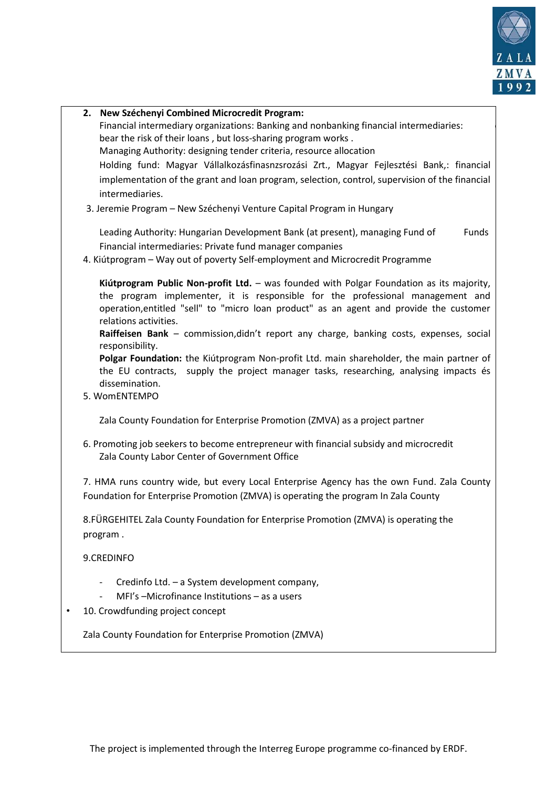

| 2. New Széchenyi Combined Microcredit Program:<br>Financial intermediary organizations: Banking and nonbanking financial intermediaries:<br>bear the risk of their loans, but loss-sharing program works.<br>Managing Authority: designing tender criteria, resource allocation<br>Holding fund: Magyar Vállalkozásfinasnzsrozási Zrt., Magyar Fejlesztési Bank,: financial<br>implementation of the grant and loan program, selection, control, supervision of the financial<br>intermediaries.<br>3. Jeremie Program - New Széchenyi Venture Capital Program in Hungary<br>Leading Authority: Hungarian Development Bank (at present), managing Fund of<br>Funds<br>Financial intermediaries: Private fund manager companies<br>4. Kiútprogram - Way out of poverty Self-employment and Microcredit Programme<br>Kiútprogram Public Non-profit Ltd. - was founded with Polgar Foundation as its majority,<br>the program implementer, it is responsible for the professional management and<br>operation, entitled "sell" to "micro loan product" as an agent and provide the customer<br>relations activities.<br>Raiffeisen Bank - commission, didn't report any charge, banking costs, expenses, social<br>responsibility.<br>Polgar Foundation: the Kiútprogram Non-profit Ltd. main shareholder, the main partner of<br>the EU contracts, supply the project manager tasks, researching, analysing impacts és<br>dissemination.<br>5. WomENTEMPO<br>Zala County Foundation for Enterprise Promotion (ZMVA) as a project partner<br>6. Promoting job seekers to become entrepreneur with financial subsidy and microcredit<br>Zala County Labor Center of Government Office |
|-----------------------------------------------------------------------------------------------------------------------------------------------------------------------------------------------------------------------------------------------------------------------------------------------------------------------------------------------------------------------------------------------------------------------------------------------------------------------------------------------------------------------------------------------------------------------------------------------------------------------------------------------------------------------------------------------------------------------------------------------------------------------------------------------------------------------------------------------------------------------------------------------------------------------------------------------------------------------------------------------------------------------------------------------------------------------------------------------------------------------------------------------------------------------------------------------------------------------------------------------------------------------------------------------------------------------------------------------------------------------------------------------------------------------------------------------------------------------------------------------------------------------------------------------------------------------------------------------------------------------------------------------------------------------------------|
|                                                                                                                                                                                                                                                                                                                                                                                                                                                                                                                                                                                                                                                                                                                                                                                                                                                                                                                                                                                                                                                                                                                                                                                                                                                                                                                                                                                                                                                                                                                                                                                                                                                                                   |
|                                                                                                                                                                                                                                                                                                                                                                                                                                                                                                                                                                                                                                                                                                                                                                                                                                                                                                                                                                                                                                                                                                                                                                                                                                                                                                                                                                                                                                                                                                                                                                                                                                                                                   |
|                                                                                                                                                                                                                                                                                                                                                                                                                                                                                                                                                                                                                                                                                                                                                                                                                                                                                                                                                                                                                                                                                                                                                                                                                                                                                                                                                                                                                                                                                                                                                                                                                                                                                   |
|                                                                                                                                                                                                                                                                                                                                                                                                                                                                                                                                                                                                                                                                                                                                                                                                                                                                                                                                                                                                                                                                                                                                                                                                                                                                                                                                                                                                                                                                                                                                                                                                                                                                                   |
|                                                                                                                                                                                                                                                                                                                                                                                                                                                                                                                                                                                                                                                                                                                                                                                                                                                                                                                                                                                                                                                                                                                                                                                                                                                                                                                                                                                                                                                                                                                                                                                                                                                                                   |
|                                                                                                                                                                                                                                                                                                                                                                                                                                                                                                                                                                                                                                                                                                                                                                                                                                                                                                                                                                                                                                                                                                                                                                                                                                                                                                                                                                                                                                                                                                                                                                                                                                                                                   |
|                                                                                                                                                                                                                                                                                                                                                                                                                                                                                                                                                                                                                                                                                                                                                                                                                                                                                                                                                                                                                                                                                                                                                                                                                                                                                                                                                                                                                                                                                                                                                                                                                                                                                   |
|                                                                                                                                                                                                                                                                                                                                                                                                                                                                                                                                                                                                                                                                                                                                                                                                                                                                                                                                                                                                                                                                                                                                                                                                                                                                                                                                                                                                                                                                                                                                                                                                                                                                                   |
|                                                                                                                                                                                                                                                                                                                                                                                                                                                                                                                                                                                                                                                                                                                                                                                                                                                                                                                                                                                                                                                                                                                                                                                                                                                                                                                                                                                                                                                                                                                                                                                                                                                                                   |
|                                                                                                                                                                                                                                                                                                                                                                                                                                                                                                                                                                                                                                                                                                                                                                                                                                                                                                                                                                                                                                                                                                                                                                                                                                                                                                                                                                                                                                                                                                                                                                                                                                                                                   |
|                                                                                                                                                                                                                                                                                                                                                                                                                                                                                                                                                                                                                                                                                                                                                                                                                                                                                                                                                                                                                                                                                                                                                                                                                                                                                                                                                                                                                                                                                                                                                                                                                                                                                   |
|                                                                                                                                                                                                                                                                                                                                                                                                                                                                                                                                                                                                                                                                                                                                                                                                                                                                                                                                                                                                                                                                                                                                                                                                                                                                                                                                                                                                                                                                                                                                                                                                                                                                                   |
|                                                                                                                                                                                                                                                                                                                                                                                                                                                                                                                                                                                                                                                                                                                                                                                                                                                                                                                                                                                                                                                                                                                                                                                                                                                                                                                                                                                                                                                                                                                                                                                                                                                                                   |
|                                                                                                                                                                                                                                                                                                                                                                                                                                                                                                                                                                                                                                                                                                                                                                                                                                                                                                                                                                                                                                                                                                                                                                                                                                                                                                                                                                                                                                                                                                                                                                                                                                                                                   |
|                                                                                                                                                                                                                                                                                                                                                                                                                                                                                                                                                                                                                                                                                                                                                                                                                                                                                                                                                                                                                                                                                                                                                                                                                                                                                                                                                                                                                                                                                                                                                                                                                                                                                   |
|                                                                                                                                                                                                                                                                                                                                                                                                                                                                                                                                                                                                                                                                                                                                                                                                                                                                                                                                                                                                                                                                                                                                                                                                                                                                                                                                                                                                                                                                                                                                                                                                                                                                                   |
|                                                                                                                                                                                                                                                                                                                                                                                                                                                                                                                                                                                                                                                                                                                                                                                                                                                                                                                                                                                                                                                                                                                                                                                                                                                                                                                                                                                                                                                                                                                                                                                                                                                                                   |
|                                                                                                                                                                                                                                                                                                                                                                                                                                                                                                                                                                                                                                                                                                                                                                                                                                                                                                                                                                                                                                                                                                                                                                                                                                                                                                                                                                                                                                                                                                                                                                                                                                                                                   |
|                                                                                                                                                                                                                                                                                                                                                                                                                                                                                                                                                                                                                                                                                                                                                                                                                                                                                                                                                                                                                                                                                                                                                                                                                                                                                                                                                                                                                                                                                                                                                                                                                                                                                   |
|                                                                                                                                                                                                                                                                                                                                                                                                                                                                                                                                                                                                                                                                                                                                                                                                                                                                                                                                                                                                                                                                                                                                                                                                                                                                                                                                                                                                                                                                                                                                                                                                                                                                                   |
|                                                                                                                                                                                                                                                                                                                                                                                                                                                                                                                                                                                                                                                                                                                                                                                                                                                                                                                                                                                                                                                                                                                                                                                                                                                                                                                                                                                                                                                                                                                                                                                                                                                                                   |
|                                                                                                                                                                                                                                                                                                                                                                                                                                                                                                                                                                                                                                                                                                                                                                                                                                                                                                                                                                                                                                                                                                                                                                                                                                                                                                                                                                                                                                                                                                                                                                                                                                                                                   |
|                                                                                                                                                                                                                                                                                                                                                                                                                                                                                                                                                                                                                                                                                                                                                                                                                                                                                                                                                                                                                                                                                                                                                                                                                                                                                                                                                                                                                                                                                                                                                                                                                                                                                   |
| 7. HMA runs country wide, but every Local Enterprise Agency has the own Fund. Zala County                                                                                                                                                                                                                                                                                                                                                                                                                                                                                                                                                                                                                                                                                                                                                                                                                                                                                                                                                                                                                                                                                                                                                                                                                                                                                                                                                                                                                                                                                                                                                                                         |
| Foundation for Enterprise Promotion (ZMVA) is operating the program In Zala County                                                                                                                                                                                                                                                                                                                                                                                                                                                                                                                                                                                                                                                                                                                                                                                                                                                                                                                                                                                                                                                                                                                                                                                                                                                                                                                                                                                                                                                                                                                                                                                                |
| 8. FÜRGEHITEL Zala County Foundation for Enterprise Promotion (ZMVA) is operating the                                                                                                                                                                                                                                                                                                                                                                                                                                                                                                                                                                                                                                                                                                                                                                                                                                                                                                                                                                                                                                                                                                                                                                                                                                                                                                                                                                                                                                                                                                                                                                                             |
| program.                                                                                                                                                                                                                                                                                                                                                                                                                                                                                                                                                                                                                                                                                                                                                                                                                                                                                                                                                                                                                                                                                                                                                                                                                                                                                                                                                                                                                                                                                                                                                                                                                                                                          |
|                                                                                                                                                                                                                                                                                                                                                                                                                                                                                                                                                                                                                                                                                                                                                                                                                                                                                                                                                                                                                                                                                                                                                                                                                                                                                                                                                                                                                                                                                                                                                                                                                                                                                   |
| 9.CREDINFO                                                                                                                                                                                                                                                                                                                                                                                                                                                                                                                                                                                                                                                                                                                                                                                                                                                                                                                                                                                                                                                                                                                                                                                                                                                                                                                                                                                                                                                                                                                                                                                                                                                                        |
| - Credinfo Ltd. - a System development company,                                                                                                                                                                                                                                                                                                                                                                                                                                                                                                                                                                                                                                                                                                                                                                                                                                                                                                                                                                                                                                                                                                                                                                                                                                                                                                                                                                                                                                                                                                                                                                                                                                   |
| MFI's -Microfinance Institutions - as a users                                                                                                                                                                                                                                                                                                                                                                                                                                                                                                                                                                                                                                                                                                                                                                                                                                                                                                                                                                                                                                                                                                                                                                                                                                                                                                                                                                                                                                                                                                                                                                                                                                     |
| 10. Crowdfunding project concept                                                                                                                                                                                                                                                                                                                                                                                                                                                                                                                                                                                                                                                                                                                                                                                                                                                                                                                                                                                                                                                                                                                                                                                                                                                                                                                                                                                                                                                                                                                                                                                                                                                  |
| Zala County Foundation for Enterprise Promotion (ZMVA)                                                                                                                                                                                                                                                                                                                                                                                                                                                                                                                                                                                                                                                                                                                                                                                                                                                                                                                                                                                                                                                                                                                                                                                                                                                                                                                                                                                                                                                                                                                                                                                                                            |
|                                                                                                                                                                                                                                                                                                                                                                                                                                                                                                                                                                                                                                                                                                                                                                                                                                                                                                                                                                                                                                                                                                                                                                                                                                                                                                                                                                                                                                                                                                                                                                                                                                                                                   |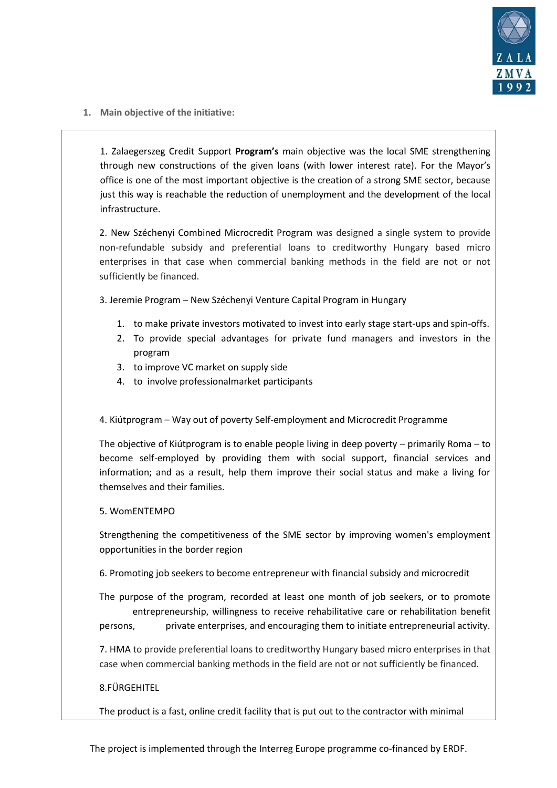

**1. Main objective of the initiative:**

1. Zalaegerszeg Credit Support **Program's** main objective was the local SME strengthening through new constructions of the given loans (with lower interest rate). For the Mayor's office is one of the most important objective is the creation of a strong SME sector, because just this way is reachable the reduction of unemployment and the development of the local infrastructure.

2. New Széchenyi Combined Microcredit Program was designed a single system to provide non-refundable subsidy and preferential loans to creditworthy Hungary based micro enterprises in that case when commercial banking methods in the field are not or not sufficiently be financed.

3. Jeremie Program – New Széchenyi Venture Capital Program in Hungary

- 1. to make private investors motivated to invest into early stage start-ups and spin-offs.
- 2. To provide special advantages for private fund managers and investors in the program
- 3. to improve VC market on supply side
- 4. to involve professionalmarket participants

# 4. Kiútprogram – Way out of poverty Self-employment and Microcredit Programme

The objective of Kiútprogram is to enable people living in deep poverty – primarily Roma – to become self-employed by providing them with social support, financial services and information; and as a result, help them improve their social status and make a living for themselves and their families.

#### 5. WomENTEMPO

Strengthening the competitiveness of the SME sector by improving women's employment opportunities in the border region

6. Promoting job seekers to become entrepreneur with financial subsidy and microcredit

The purpose of the program, recorded at least one month of job seekers, or to promote entrepreneurship, willingness to receive rehabilitative care or rehabilitation benefit persons, private enterprises, and encouraging them to initiate entrepreneurial activity.

7. HMA to provide preferential loans to creditworthy Hungary based micro enterprises in that case when commercial banking methods in the field are not or not sufficiently be financed.

#### 8.FÜRGEHITEL

The product is a fast, online credit facility that is put out to the contractor with minimal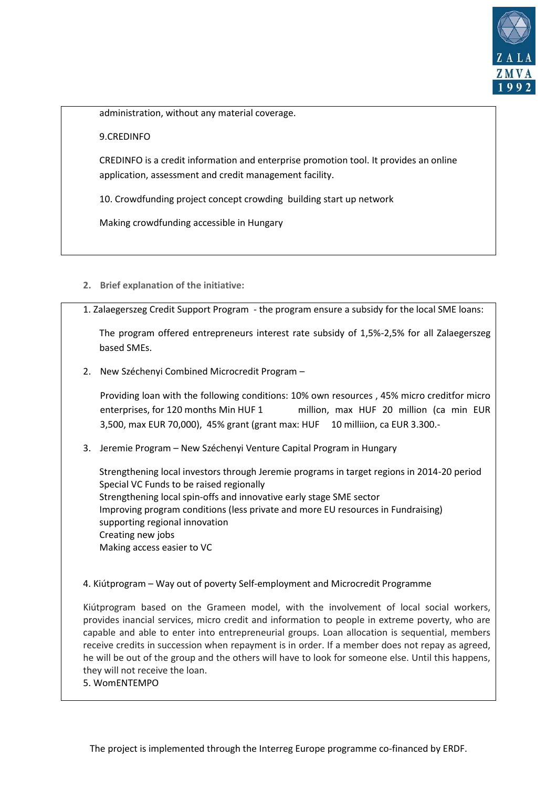

administration, without any material coverage.

#### 9.CREDINFO

CREDINFO is a credit information and enterprise promotion tool. It provides an online application, assessment and credit management facility.

10. Crowdfunding project concept crowding building start up network

Making crowdfunding accessible in Hungary

- **2. Brief explanation of the initiative:**
- 1. Zalaegerszeg Credit Support Program the program ensure a subsidy for the local SME loans:

The program offered entrepreneurs interest rate subsidy of 1,5%-2,5% for all Zalaegerszeg based SMEs.

2. New Széchenyi Combined Microcredit Program –

Providing loan with the following conditions: 10% own resources , 45% micro creditfor micro enterprises, for 120 months Min HUF 1 million, max HUF 20 million (ca min EUR 3,500, max EUR 70,000), 45% grant (grant max: HUF 10 milliion, ca EUR 3.300.-

3. Jeremie Program – New Széchenyi Venture Capital Program in Hungary

Strengthening local investors through Jeremie programs in target regions in 2014-20 period Special VC Funds to be raised regionally Strengthening local spin-offs and innovative early stage SME sector Improving program conditions (less private and more EU resources in Fundraising) supporting regional innovation Creating new jobs Making access easier to VC

4. Kiútprogram – Way out of poverty Self-employment and Microcredit Programme

Kiútprogram based on the Grameen model, with the involvement of local social workers, provides inancial services, micro credit and information to people in extreme poverty, who are capable and able to enter into entrepreneurial groups. Loan allocation is sequential, members receive credits in succession when repayment is in order. If a member does not repay as agreed, he will be out of the group and the others will have to look for someone else. Until this happens, they will not receive the loan.

5. WomENTEMPO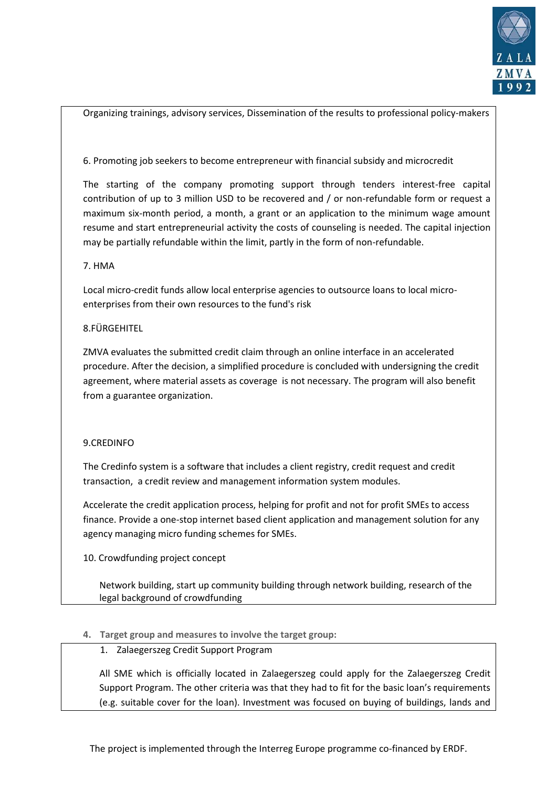

Organizing trainings, advisory services, Dissemination of the results to professional policy-makers

#### 6. Promoting job seekers to become entrepreneur with financial subsidy and microcredit

The starting of the company promoting support through tenders interest-free capital contribution of up to 3 million USD to be recovered and / or non-refundable form or request a maximum six-month period, a month, a grant or an application to the minimum wage amount resume and start entrepreneurial activity the costs of counseling is needed. The capital injection may be partially refundable within the limit, partly in the form of non-refundable.

#### 7. HMA

Local micro-credit funds allow local enterprise agencies to outsource loans to local microenterprises from their own resources to the fund's risk

# 8.FÜRGEHITEL

ZMVA evaluates the submitted credit claim through an online interface in an accelerated procedure. After the decision, a simplified procedure is concluded with undersigning the credit agreement, where material assets as coverage is not necessary. The program will also benefit from a guarantee organization.

# 9.CREDINFO

The Credinfo system is a software that includes a client registry, credit request and credit transaction, a credit review and management information system modules.

Accelerate the credit application process, helping for profit and not for profit SMEs to access finance. Provide a one-stop internet based client application and management solution for any agency managing micro funding schemes for SMEs.

# 10. Crowdfunding project concept

Network building, start up community building through network building, research of the legal background of crowdfunding

# **4. Target group and measures to involve the target group:**

# 1. Zalaegerszeg Credit Support Program

All SME which is officially located in Zalaegerszeg could apply for the Zalaegerszeg Credit Support Program. The other criteria was that they had to fit for the basic loan's requirements (e.g. suitable cover for the loan). Investment was focused on buying of buildings, lands and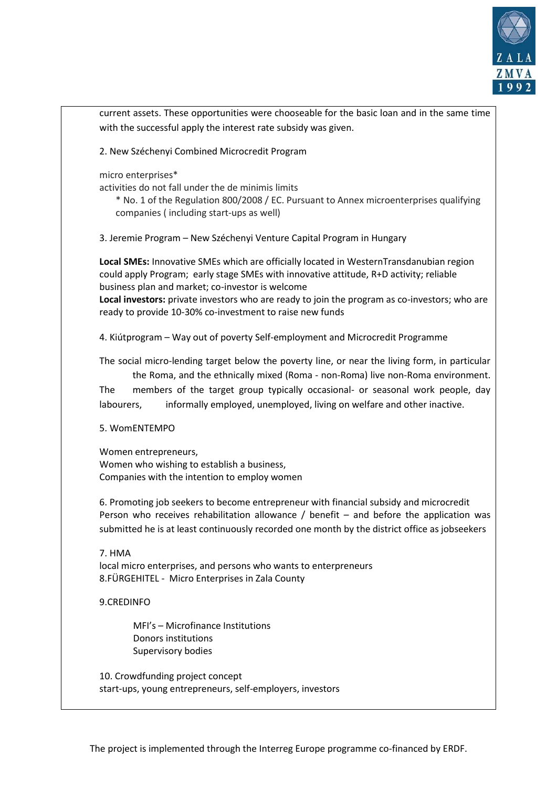

current assets. These opportunities were chooseable for the basic loan and in the same time with the successful apply the interest rate subsidy was given. 2. New Széchenyi Combined Microcredit Program micro enterprises\* activities do not fall under the de minimis limits \* No. 1 of the Regulation 800/2008 / EC. Pursuant to Annex microenterprises qualifying companies ( including start-ups as well) 3. Jeremie Program – New Széchenyi Venture Capital Program in Hungary **Local SMEs:** Innovative SMEs which are officially located in WesternTransdanubian region could apply Program; early stage SMEs with innovative attitude, R+D activity; reliable business plan and market; co-investor is welcome **Local investors:** private investors who are ready to join the program as co-investors; who are ready to provide 10-30% co-investment to raise new funds 4. Kiútprogram – Way out of poverty Self-employment and Microcredit Programme The social micro-lending target below the poverty line, or near the living form, in particular the Roma, and the ethnically mixed (Roma - non-Roma) live non-Roma environment. The members of the target group typically occasional- or seasonal work people, day labourers, informally employed, unemployed, living on welfare and other inactive. 5. WomENTEMPO Women entrepreneurs, Women who wishing to establish a business, Companies with the intention to employ women 6. Promoting job seekers to become entrepreneur with financial subsidy and microcredit Person who receives rehabilitation allowance / benefit – and before the application was submitted he is at least continuously recorded one month by the district office as jobseekers 7. HMA local micro enterprises, and persons who wants to enterpreneurs 8.FÜRGEHITEL - Micro Enterprises in Zala County 9.CREDINFO MFI's – Microfinance Institutions Donors institutions Supervisory bodies 10. Crowdfunding project concept start-ups, young entrepreneurs, self-employers, investors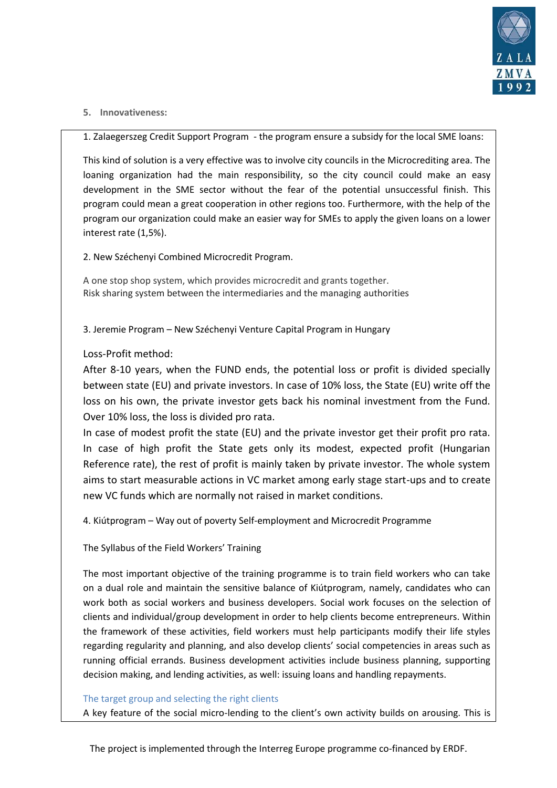

#### **5. Innovativeness:**

1. Zalaegerszeg Credit Support Program - the program ensure a subsidy for the local SME loans:

This kind of solution is a very effective was to involve city councils in the Microcrediting area. The loaning organization had the main responsibility, so the city council could make an easy development in the SME sector without the fear of the potential unsuccessful finish. This program could mean a great cooperation in other regions too. Furthermore, with the help of the program our organization could make an easier way for SMEs to apply the given loans on a lower interest rate (1,5%).

2. New Széchenyi Combined Microcredit Program.

A one stop shop system, which provides microcredit and grants together. Risk sharing system between the intermediaries and the managing authorities

3. Jeremie Program – New Széchenyi Venture Capital Program in Hungary

# Loss-Profit method:

After 8-10 years, when the FUND ends, the potential loss or profit is divided specially between state (EU) and private investors. In case of 10% loss, the State (EU) write off the loss on his own, the private investor gets back his nominal investment from the Fund. Over 10% loss, the loss is divided pro rata.

In case of modest profit the state (EU) and the private investor get their profit pro rata. In case of high profit the State gets only its modest, expected profit (Hungarian Reference rate), the rest of profit is mainly taken by private investor. The whole system aims to start measurable actions in VC market among early stage start-ups and to create new VC funds which are normally not raised in market conditions.

4. Kiútprogram – Way out of poverty Self-employment and Microcredit Programme

The Syllabus of the Field Workers' Training

The most important objective of the training programme is to train field workers who can take on a dual role and maintain the sensitive balance of Kiútprogram, namely, candidates who can work both as social workers and business developers. Social work focuses on the selection of clients and individual/group development in order to help clients become entrepreneurs. Within the framework of these activities, field workers must help participants modify their life styles regarding regularity and planning, and also develop clients' social competencies in areas such as running official errands. Business development activities include business planning, supporting decision making, and lending activities, as well: issuing loans and handling repayments.

#### The target group and selecting the right clients

A key feature of the social micro-lending to the client's own activity builds on arousing. This is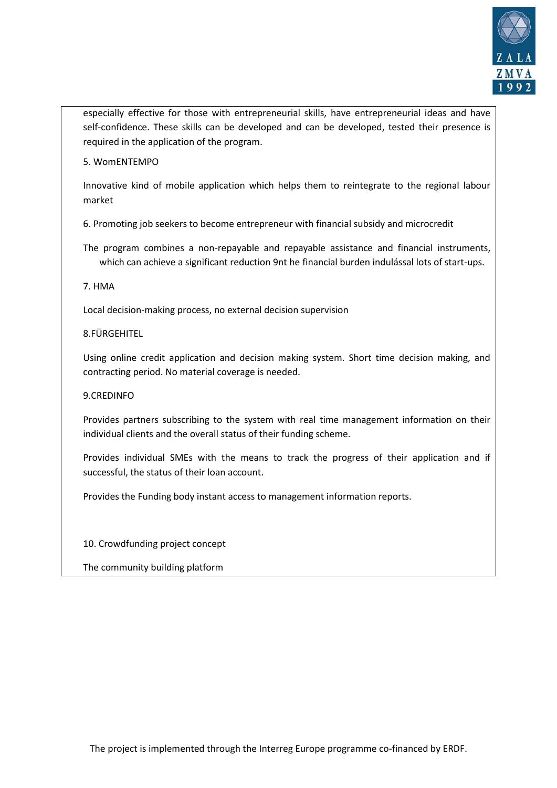

especially effective for those with entrepreneurial skills, have entrepreneurial ideas and have self-confidence. These skills can be developed and can be developed, tested their presence is required in the application of the program.

5. WomENTEMPO

Innovative kind of mobile application which helps them to reintegrate to the regional labour market

6. Promoting job seekers to become entrepreneur with financial subsidy and microcredit

The program combines a non-repayable and repayable assistance and financial instruments, which can achieve a significant reduction 9nt he financial burden indulással lots of start-ups.

7. HMA

Local decision-making process, no external decision supervision

# 8.FÜRGEHITEL

Using online credit application and decision making system. Short time decision making, and contracting period. No material coverage is needed.

# 9.CREDINFO

Provides partners subscribing to the system with real time management information on their individual clients and the overall status of their funding scheme.

Provides individual SMEs with the means to track the progress of their application and if successful, the status of their loan account.

Provides the Funding body instant access to management information reports.

10. Crowdfunding project concept

The community building platform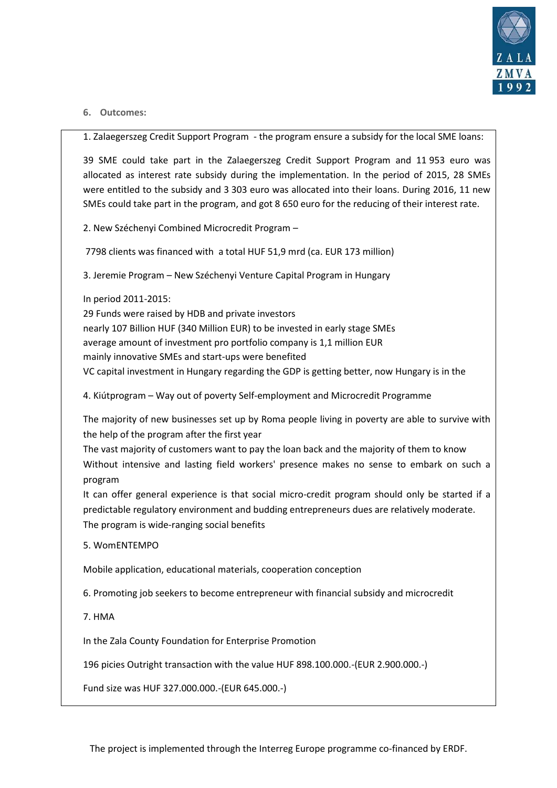

#### **6. Outcomes:**

1. Zalaegerszeg Credit Support Program - the program ensure a subsidy for the local SME loans:

39 SME could take part in the Zalaegerszeg Credit Support Program and 11 953 euro was allocated as interest rate subsidy during the implementation. In the period of 2015, 28 SMEs were entitled to the subsidy and 3 303 euro was allocated into their loans. During 2016, 11 new SMEs could take part in the program, and got 8 650 euro for the reducing of their interest rate.

2. New Széchenyi Combined Microcredit Program –

7798 clients was financed with a total HUF 51,9 mrd (ca. EUR 173 million)

3. Jeremie Program – New Széchenyi Venture Capital Program in Hungary

In period 2011-2015:

29 Funds were raised by HDB and private investors nearly 107 Billion HUF (340 Million EUR) to be invested in early stage SMEs average amount of investment pro portfolio company is 1,1 million EUR mainly innovative SMEs and start-ups were benefited VC capital investment in Hungary regarding the GDP is getting better, now Hungary is in the

4. Kiútprogram – Way out of poverty Self-employment and Microcredit Programme

The majority of new businesses set up by Roma people living in poverty are able to survive with the help of the program after the first year

The vast majority of customers want to pay the loan back and the majority of them to know Without intensive and lasting field workers' presence makes no sense to embark on such a program

It can offer general experience is that social micro-credit program should only be started if a predictable regulatory environment and budding entrepreneurs dues are relatively moderate. The program is wide-ranging social benefits

5. WomENTEMPO

Mobile application, educational materials, cooperation conception

6. Promoting job seekers to become entrepreneur with financial subsidy and microcredit

7. HMA

In the Zala County Foundation for Enterprise Promotion

196 picies Outright transaction with the value HUF 898.100.000.-(EUR 2.900.000.-)

Fund size was HUF 327.000.000.-(EUR 645.000.-)